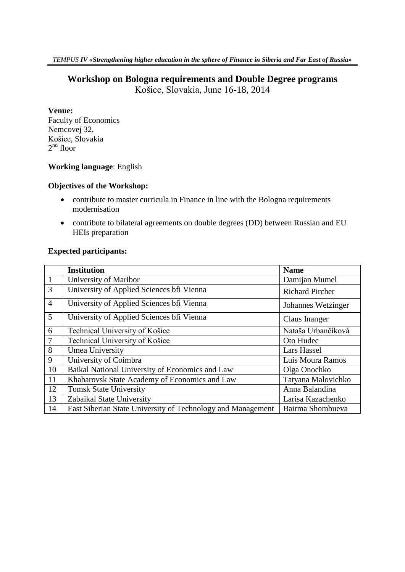## **Workshop on Bologna requirements and Double Degree programs**

Košice, Slovakia, June 16-18, 2014

#### **Venue:**

Faculty of Economics Nemcovej 32, Košice, Slovakia  $2<sup>nd</sup>$  floor

#### **Working language**: English

#### **Objectives of the Workshop:**

- contribute to master curricula in Finance in line with the Bologna requirements modernisation
- contribute to bilateral agreements on double degrees (DD) between Russian and EU HEIs preparation

### **Expected participants:**

|                | <b>Institution</b>                                          | <b>Name</b>            |
|----------------|-------------------------------------------------------------|------------------------|
| $\mathbf{1}$   | University of Maribor                                       | Damijan Mumel          |
| $\overline{3}$ | University of Applied Sciences bfi Vienna                   | <b>Richard Pircher</b> |
| $\overline{4}$ | University of Applied Sciences bfi Vienna                   | Johannes Wetzinger     |
| 5              | University of Applied Sciences bri Vienna                   | Claus Inanger          |
| 6              | Technical University of Košice                              | Nataša Urbančíková     |
| $\overline{7}$ | Technical University of Košice                              | Oto Hudec              |
| 8              | Umea University                                             | Lars Hassel            |
| 9              | University of Coimbra                                       | Luis Moura Ramos       |
| 10             | Baikal National University of Economics and Law             | Olga Onochko           |
| 11             | Khabarovsk State Academy of Economics and Law               | Tatyana Malovichko     |
| 12             | <b>Tomsk State University</b>                               | Anna Balandina         |
| 13             | Zabaikal State University                                   | Larisa Kazachenko      |
| 14             | East Siberian State University of Technology and Management | Bairma Shombueva       |